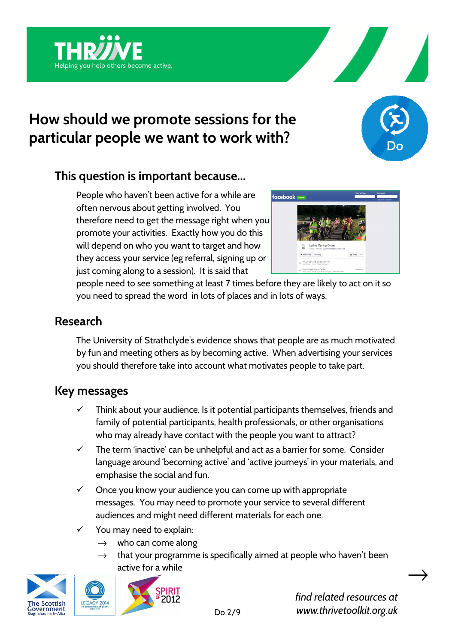





## **This question is important because…**

People who haven't been active for a while are often nervous about getting involved. You therefore need to get the message right when you promote your activities. Exactly how you do this will depend on who you want to target and how they access your service (eg referral, signing up or just coming along to a session). It is said that



people need to see something at least 7 times before they are likely to act on it so you need to spread the word in lots of places and in lots of ways.

## **Research**

The University of Strathclyde's evidence shows that people are as much motivated by fun and meeting others as by becoming active. When advertising your services you should therefore take into account what motivates people to take part.

## **Key messages**

- $\checkmark$  Think about your audience. Is it potential participants themselves, friends and family of potential participants, health professionals, or other organisations who may already have contact with the people you want to attract?
- $\checkmark$  The term 'inactive' can be unhelpful and act as a barrier for some. Consider language around 'becoming active' and 'active journeys' in your materials, and emphasise the social and fun.
- $\checkmark$  Once you know your audience you can come up with appropriate messages. You may need to promote your service to several different audiences and might need different materials for each one.
- You may need to explain:
	- $\rightarrow$  who can come along
	- $\rightarrow$  that your programme is specifically aimed at people who haven't been active for a while





*find related resources at www.thrivetoolkit.org.uk*   $\rightarrow$